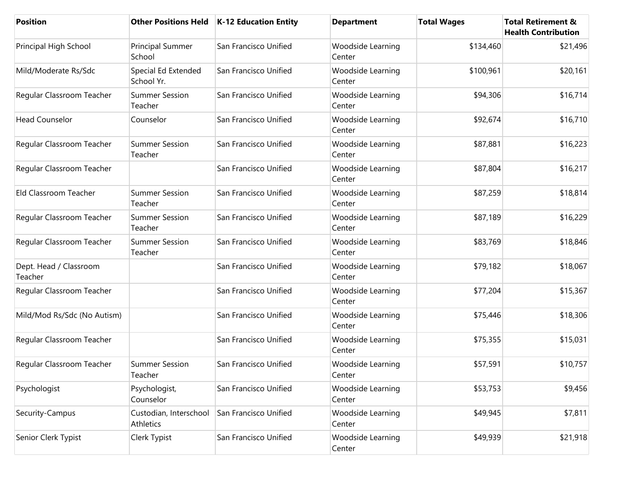| <b>Position</b>                   |                                     | Other Positions Held   K-12 Education Entity | <b>Department</b>           | <b>Total Wages</b> | <b>Total Retirement &amp;</b><br><b>Health Contribution</b> |
|-----------------------------------|-------------------------------------|----------------------------------------------|-----------------------------|--------------------|-------------------------------------------------------------|
| Principal High School             | Principal Summer<br>School          | San Francisco Unified                        | Woodside Learning<br>Center | \$134,460          | \$21,496                                                    |
| Mild/Moderate Rs/Sdc              | Special Ed Extended<br>School Yr.   | San Francisco Unified                        | Woodside Learning<br>Center | \$100,961          | \$20,161                                                    |
| Regular Classroom Teacher         | <b>Summer Session</b><br>Teacher    | San Francisco Unified                        | Woodside Learning<br>Center | \$94,306           | \$16,714                                                    |
| <b>Head Counselor</b>             | Counselor                           | San Francisco Unified                        | Woodside Learning<br>Center | \$92,674           | \$16,710                                                    |
| Regular Classroom Teacher         | <b>Summer Session</b><br>Teacher    | San Francisco Unified                        | Woodside Learning<br>Center | \$87,881           | \$16,223                                                    |
| Regular Classroom Teacher         |                                     | San Francisco Unified                        | Woodside Learning<br>Center | \$87,804           | \$16,217                                                    |
| Eld Classroom Teacher             | <b>Summer Session</b><br>Teacher    | San Francisco Unified                        | Woodside Learning<br>Center | \$87,259           | \$18,814                                                    |
| Regular Classroom Teacher         | <b>Summer Session</b><br>Teacher    | San Francisco Unified                        | Woodside Learning<br>Center | \$87,189           | \$16,229                                                    |
| Regular Classroom Teacher         | <b>Summer Session</b><br>Teacher    | San Francisco Unified                        | Woodside Learning<br>Center | \$83,769           | \$18,846                                                    |
| Dept. Head / Classroom<br>Teacher |                                     | San Francisco Unified                        | Woodside Learning<br>Center | \$79,182           | \$18,067                                                    |
| Regular Classroom Teacher         |                                     | San Francisco Unified                        | Woodside Learning<br>Center | \$77,204           | \$15,367                                                    |
| Mild/Mod Rs/Sdc (No Autism)       |                                     | San Francisco Unified                        | Woodside Learning<br>Center | \$75,446           | \$18,306                                                    |
| Regular Classroom Teacher         |                                     | San Francisco Unified                        | Woodside Learning<br>Center | \$75,355           | \$15,031                                                    |
| Regular Classroom Teacher         | <b>Summer Session</b><br>Teacher    | San Francisco Unified                        | Woodside Learning<br>Center | \$57,591           | \$10,757                                                    |
| Psychologist                      | Psychologist,<br>Counselor          | San Francisco Unified                        | Woodside Learning<br>Center | \$53,753           | \$9,456                                                     |
| Security-Campus                   | Custodian, Interschool<br>Athletics | San Francisco Unified                        | Woodside Learning<br>Center | \$49,945           | \$7,811                                                     |
| Senior Clerk Typist               | Clerk Typist                        | San Francisco Unified                        | Woodside Learning<br>Center | \$49,939           | \$21,918                                                    |